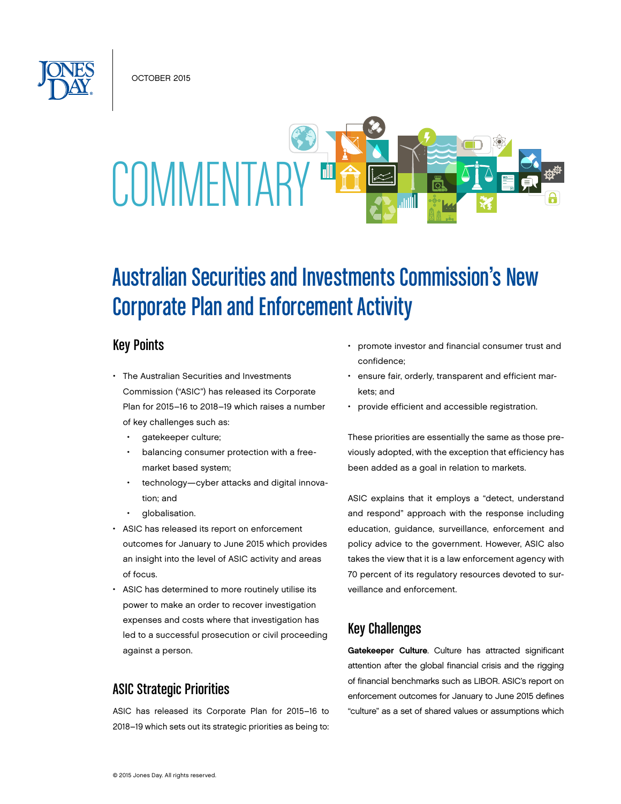OCTOBER 2015



# Australian Securities and Investments Commission's New Corporate Plan and Enforcement Activity

## Key Points

- The Australian Securities and Investments Commission ("ASIC") has released its Corporate Plan for 2015–16 to 2018–19 which raises a number of key challenges such as:
	- gatekeeper culture;
	- balancing consumer protection with a freemarket based system;
	- technology—cyber attacks and digital innovation; and
	- globalisation.
- ASIC has released its report on enforcement outcomes for January to June 2015 which provides an insight into the level of ASIC activity and areas of focus.
- ASIC has determined to more routinely utilise its power to make an order to recover investigation expenses and costs where that investigation has led to a successful prosecution or civil proceeding against a person.

## ASIC Strategic Priorities

ASIC has released its Corporate Plan for 2015–16 to 2018–19 which sets out its strategic priorities as being to:

- promote investor and financial consumer trust and confidence;
- ensure fair, orderly, transparent and efficient markets; and
- provide efficient and accessible registration.

These priorities are essentially the same as those previously adopted, with the exception that efficiency has been added as a goal in relation to markets.

ASIC explains that it employs a "detect, understand and respond" approach with the response including education, guidance, surveillance, enforcement and policy advice to the government. However, ASIC also takes the view that it is a law enforcement agency with 70 percent of its regulatory resources devoted to surveillance and enforcement.

# Key Challenges

Gatekeeper Culture. Culture has attracted significant attention after the global financial crisis and the rigging of financial benchmarks such as LIBOR. ASIC's report on enforcement outcomes for January to June 2015 defines "culture" as a set of shared values or assumptions which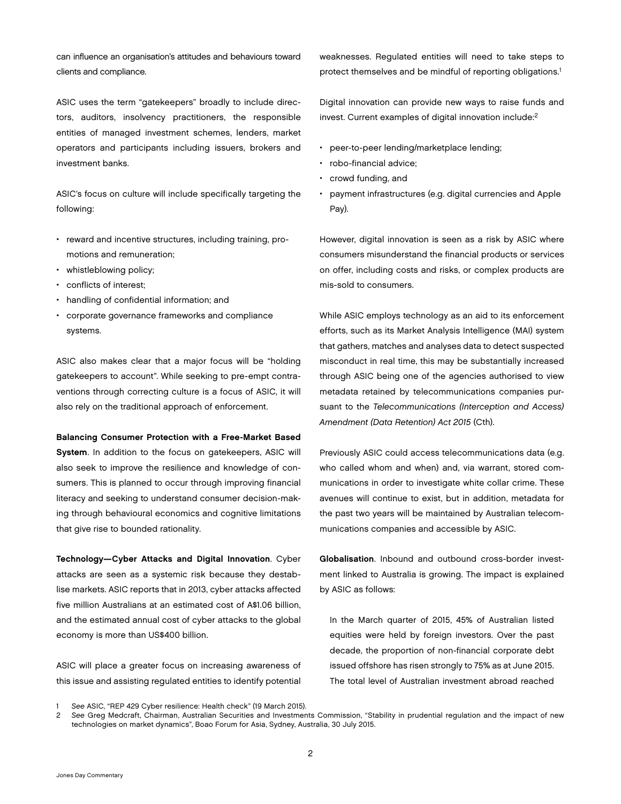can influence an organisation's attitudes and behaviours toward clients and compliance.

ASIC uses the term "gatekeepers" broadly to include directors, auditors, insolvency practitioners, the responsible entities of managed investment schemes, lenders, market operators and participants including issuers, brokers and investment banks.

ASIC's focus on culture will include specifically targeting the following:

- reward and incentive structures, including training, promotions and remuneration;
- whistleblowing policy;
- conflicts of interest;
- handling of confidential information; and
- corporate governance frameworks and compliance systems.

ASIC also makes clear that a major focus will be "holding gatekeepers to account". While seeking to pre-empt contraventions through correcting culture is a focus of ASIC, it will also rely on the traditional approach of enforcement.

#### Balancing Consumer Protection with a Free-Market Based

System. In addition to the focus on gatekeepers, ASIC will also seek to improve the resilience and knowledge of consumers. This is planned to occur through improving financial literacy and seeking to understand consumer decision-making through behavioural economics and cognitive limitations that give rise to bounded rationality.

Technology—Cyber Attacks and Digital Innovation. Cyber attacks are seen as a systemic risk because they destablise markets. ASIC reports that in 2013, cyber attacks affected five million Australians at an estimated cost of A\$1.06 billion, and the estimated annual cost of cyber attacks to the global economy is more than US\$400 billion.

ASIC will place a greater focus on increasing awareness of this issue and assisting regulated entities to identify potential weaknesses. Regulated entities will need to take steps to protect themselves and be mindful of reporting obligations.<sup>1</sup>

Digital innovation can provide new ways to raise funds and invest. Current examples of digital innovation include:2

- peer-to-peer lending/marketplace lending;
- robo-financial advice;
- crowd funding, and
- payment infrastructures (e.g. digital currencies and Apple Pay).

However, digital innovation is seen as a risk by ASIC where consumers misunderstand the financial products or services on offer, including costs and risks, or complex products are mis-sold to consumers.

While ASIC employs technology as an aid to its enforcement efforts, such as its Market Analysis Intelligence (MAI) system that gathers, matches and analyses data to detect suspected misconduct in real time, this may be substantially increased through ASIC being one of the agencies authorised to view metadata retained by telecommunications companies pursuant to the *Telecommunications (Interception and Access) Amendment (Data Retention) Act 2015* (Cth).

Previously ASIC could access telecommunications data (e.g. who called whom and when) and, via warrant, stored communications in order to investigate white collar crime. These avenues will continue to exist, but in addition, metadata for the past two years will be maintained by Australian telecommunications companies and accessible by ASIC.

Globalisation. Inbound and outbound cross-border investment linked to Australia is growing. The impact is explained by ASIC as follows:

In the March quarter of 2015, 45% of Australian listed equities were held by foreign investors. Over the past decade, the proportion of non-financial corporate debt issued offshore has risen strongly to 75% as at June 2015. The total level of Australian investment abroad reached

2 *See* Greg Medcraft, Chairman, Australian Securities and Investments Commission, "Stability in prudential regulation and the impact of new technologies on market dynamics", Boao Forum for Asia, Sydney, Australia, 30 July 2015.

<sup>1</sup> *See* ASIC, "REP 429 Cyber resilience: Health check" (19 March 2015).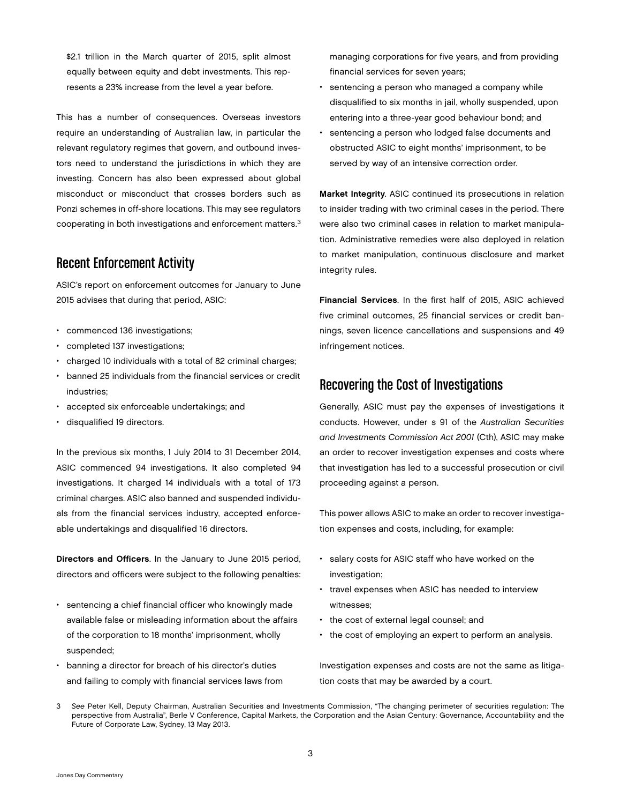\$2.1 trillion in the March quarter of 2015, split almost equally between equity and debt investments. This represents a 23% increase from the level a year before.

This has a number of consequences. Overseas investors require an understanding of Australian law, in particular the relevant regulatory regimes that govern, and outbound investors need to understand the jurisdictions in which they are investing. Concern has also been expressed about global misconduct or misconduct that crosses borders such as Ponzi schemes in off-shore locations. This may see regulators cooperating in both investigations and enforcement matters.3

## Recent Enforcement Activity

ASIC's report on enforcement outcomes for January to June 2015 advises that during that period, ASIC:

- commenced 136 investigations;
- completed 137 investigations;
- charged 10 individuals with a total of 82 criminal charges;
- banned 25 individuals from the financial services or credit industries;
- accepted six enforceable undertakings; and
- disqualified 19 directors.

In the previous six months, 1 July 2014 to 31 December 2014, ASIC commenced 94 investigations. It also completed 94 investigations. It charged 14 individuals with a total of 173 criminal charges. ASIC also banned and suspended individuals from the financial services industry, accepted enforceable undertakings and disqualified 16 directors.

Directors and Officers. In the January to June 2015 period, directors and officers were subject to the following penalties:

- sentencing a chief financial officer who knowingly made available false or misleading information about the affairs of the corporation to 18 months' imprisonment, wholly suspended;
- banning a director for breach of his director's duties and failing to comply with financial services laws from

managing corporations for five years, and from providing financial services for seven years;

- sentencing a person who managed a company while disqualified to six months in jail, wholly suspended, upon entering into a three-year good behaviour bond; and
- sentencing a person who lodged false documents and obstructed ASIC to eight months' imprisonment, to be served by way of an intensive correction order.

Market Integrity. ASIC continued its prosecutions in relation to insider trading with two criminal cases in the period. There were also two criminal cases in relation to market manipulation. Administrative remedies were also deployed in relation to market manipulation, continuous disclosure and market integrity rules.

Financial Services. In the first half of 2015, ASIC achieved five criminal outcomes, 25 financial services or credit bannings, seven licence cancellations and suspensions and 49 infringement notices.

## Recovering the Cost of Investigations

Generally, ASIC must pay the expenses of investigations it conducts. However, under s 91 of the *Australian Securities and Investments Commission Act 2001* (Cth), ASIC may make an order to recover investigation expenses and costs where that investigation has led to a successful prosecution or civil proceeding against a person.

This power allows ASIC to make an order to recover investigation expenses and costs, including, for example:

- salary costs for ASIC staff who have worked on the investigation;
- travel expenses when ASIC has needed to interview witnesses;
- the cost of external legal counsel; and
- the cost of employing an expert to perform an analysis.

Investigation expenses and costs are not the same as litigation costs that may be awarded by a court.

<sup>3</sup> *See* Peter Kell, Deputy Chairman, Australian Securities and Investments Commission, "The changing perimeter of securities regulation: The perspective from Australia", Berle V Conference, Capital Markets, the Corporation and the Asian Century: Governance, Accountability and the Future of Corporate Law, Sydney, 13 May 2013.